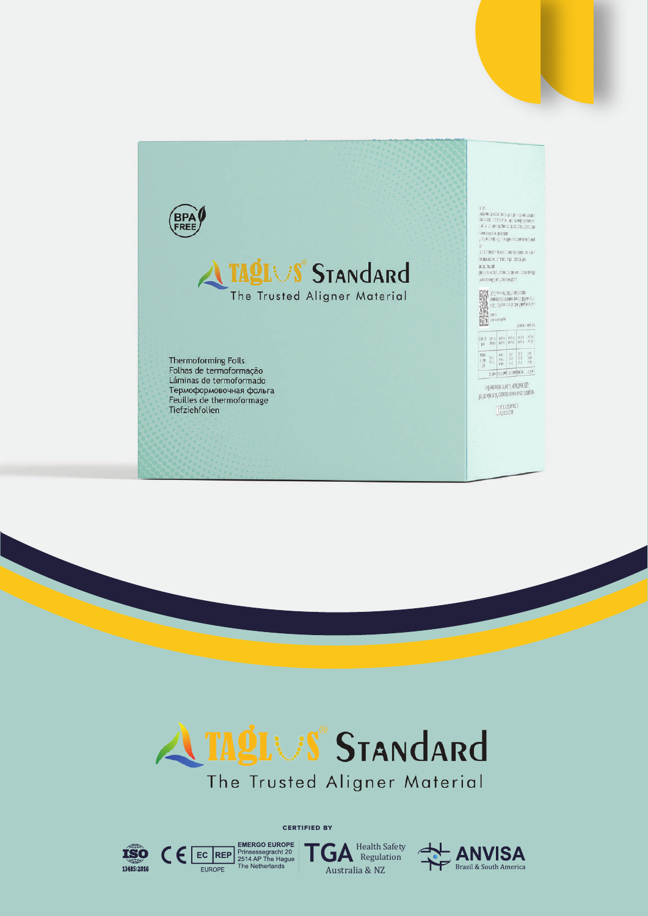



CERTIFIED BY

**TGA** Health Safety Australia & NZ



 $\textbf{C}\in \textcolor{red}{\textbf{EC} \textcolor{red}{\textbf{RED}} \textcolor{red}{\textbf{P} \textbf{times} \textbf{reg} \textbf{c} \textbf{u} \textbf{R} \textbf{O} \textbf{P}} \textcolor{red}{\textbf{E} \textbf{U} \textbf{R} \textbf{O} \textbf{P} \textbf{E}} \textcolor{red}{\textbf{P} \textbf{times} \textbf{S} \textbf{eg} \textbf{rad} \textbf{h} \textbf{20} \textbf{I} \textbf{B} \textbf{I}} \textcolor{red}{\textbf{E} \textbf{U} \textbf{R} \text$ 

EUROPE

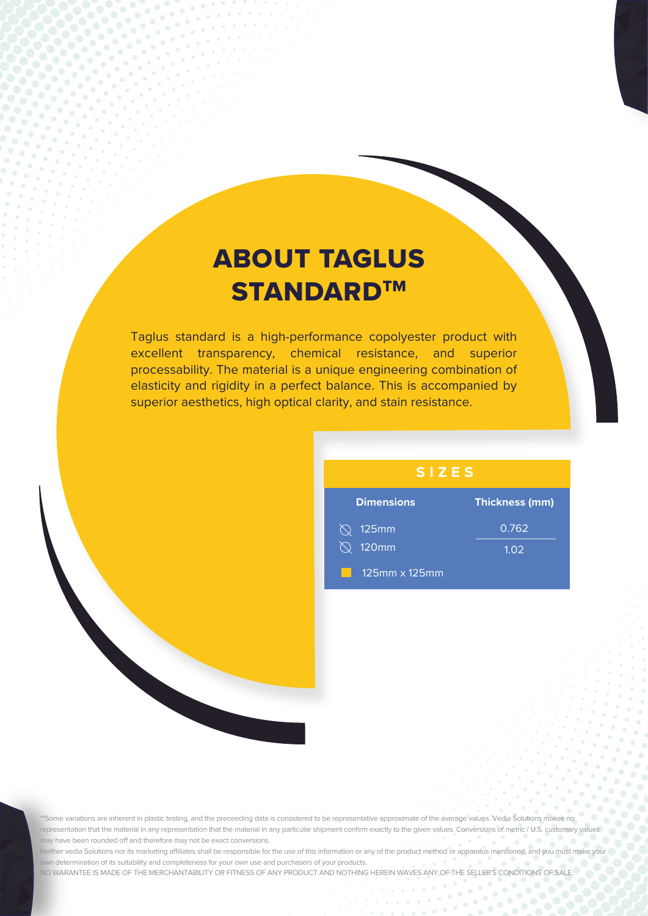## ABOUT TAGLUS **STANDARD™**

 $\frac{1}{2}$ 

Ñ, Ñ.  $\bullet$ 

 $\alpha$ 

 $\sim$  $\bullet$  $\ddot{\phantom{a}}$  $\bullet$ 

 $\alpha$  $\alpha$  $\alpha$ 

Taglus standard is a high-performance copolyester product with excellent transparency, chemical resistance, and superior processability. The material is a unique engineering combination of elasticity and rigidity in a perfect balance. This is accompanied by superior aesthetics, high optical clarity, and stain resistance.

#### **SIZES**

| <b>Dimensions</b>       | <b>Thickness (mm)</b> |
|-------------------------|-----------------------|
| $\oslash$ 125mm         | 0.762                 |
| 120mm<br>$\bigcirc$     | 1.02                  |
| $125$ mm $\times$ 125mm |                       |

 $\bullet$ 

 $\alpha$ 

'Some variations are inherent in plastic testing, and the preceeding data is considered to be representative approximate of the average values. Vedia Solutions makes no representation that the material in any representation that the material in any particular shipment confirm exactly to the given values. Conversions of metric / U.S. customary values may have been rounded off and therefore may not be exact conversions.

Neither vedia Solutions nor its marketing affiliates shall be responsible for the use of this information or any of the product method or apparatus mentioned, and you must make your own determination of its suitability and completeness for your own use and purchasers of your products. NO WARANTEE IS MADE OF THE MERCHANTABILITY OR FITNESS OF ANY PRODUCT AND NOTHING HEREIN WAVES ANY OF THE SELLER'S CONDITIONS OF SALE.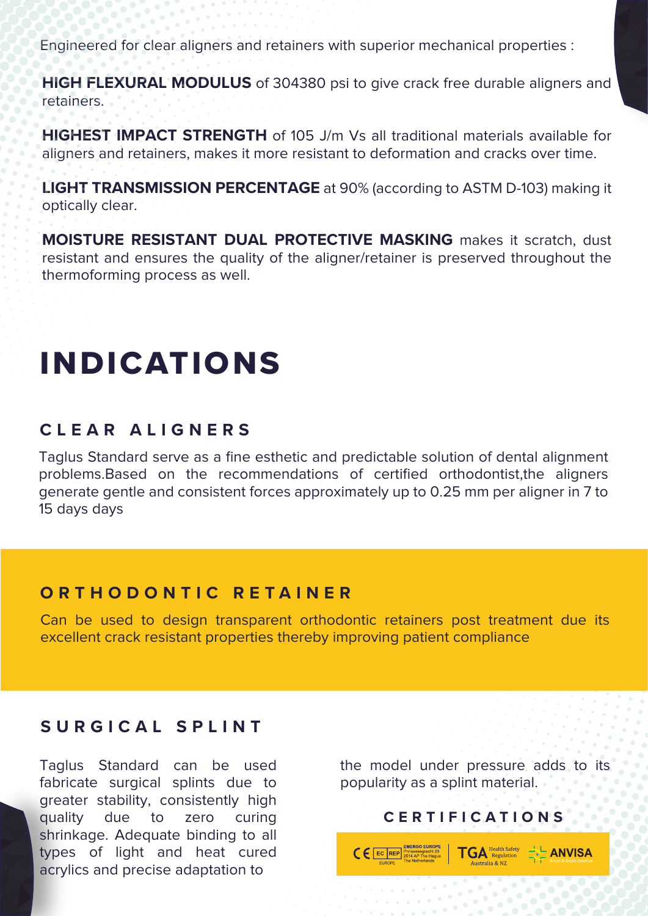Engineered for clear aligners and retainers with superior mechanical properties :

**HIGH FLEXURAL MODULUS** of 304380 psi to give crack free durable aligners and retainers.

**HIGHEST IMPACT STRENGTH** of 105 J/m Vs all traditional materials available for aligners and retainers, makes it more resistant to deformation and cracks over time.

**LIGHT TRANSMISSION PERCENTAGE** at 90% (according to ASTM D-103) making it optically clear.

**MOISTURE RESISTANT DUAL PROTECTIVE MASKING** makes it scratch, dust resistant and ensures the quality of the aligner/retainer is preserved throughout the thermoforming process as well.

# INDICATIONS

#### **CLEAR ALIGNERS**

Taglus Standard serve as a fine esthetic and predictable solution of dental alignment problems.Based on the recommendations of certified orthodontist,the aligners generate gentle and consistent forces approximately up to 0.25 mm per aligner in 7 to 15 days days

#### **ORTHODONTIC RETAINER**

Can be used to design transparent orthodontic retainers post treatment due its excellent crack resistant properties thereby improving patient compliance

#### **SURGICAL SPLINT**

Taglus Standard can be used fabricate surgical splints due to greater stability, consistently high quality due to zero curing shrinkage. Adequate binding to all types of light and heat cured acrylics and precise adaptation to

the model under pressure adds to its popularity as a splint material.

### **CERTIFICATIONS**